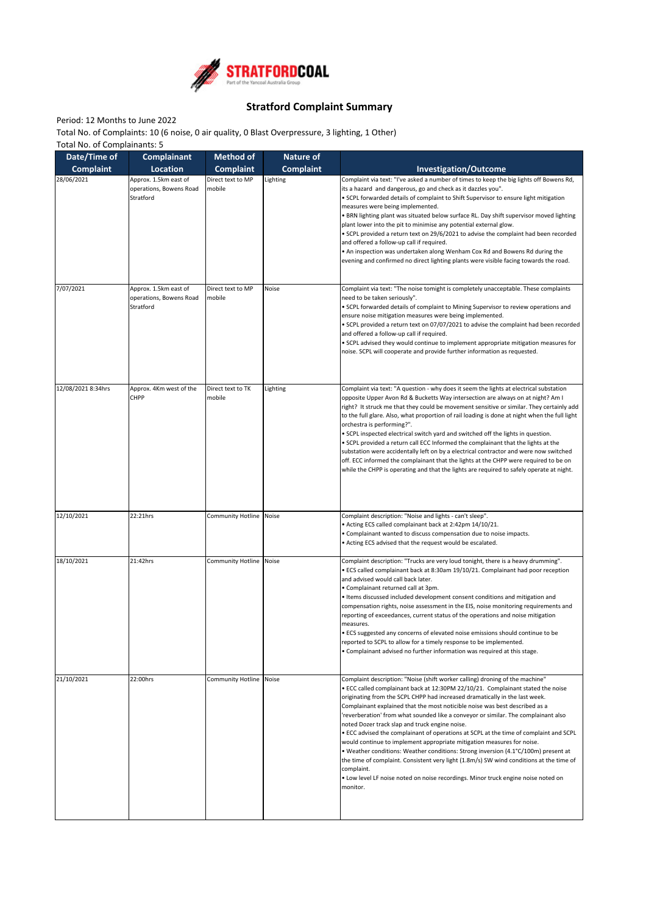

## Stratford Complaint Summary

Total No. of Complainants: 5 Period: 12 Months to June 2022 Total No. of Complaints: 10 (6 noise, 0 air quality, 0 Blast Overpressure, 3 lighting, 1 Other)

| Date/Time of       | Complainant                                                   | <b>Method of</b>            | <b>Nature of</b> |                                                                                                                                                                                                                                                                                                                                                                                                                                                                                                                                                                                                                                                                                                                                                                                                                                                                                                                                          |
|--------------------|---------------------------------------------------------------|-----------------------------|------------------|------------------------------------------------------------------------------------------------------------------------------------------------------------------------------------------------------------------------------------------------------------------------------------------------------------------------------------------------------------------------------------------------------------------------------------------------------------------------------------------------------------------------------------------------------------------------------------------------------------------------------------------------------------------------------------------------------------------------------------------------------------------------------------------------------------------------------------------------------------------------------------------------------------------------------------------|
| <b>Complaint</b>   | <b>Location</b>                                               | <b>Complaint</b>            | <b>Complaint</b> | <b>Investigation/Outcome</b>                                                                                                                                                                                                                                                                                                                                                                                                                                                                                                                                                                                                                                                                                                                                                                                                                                                                                                             |
| 28/06/2021         | Approx. 1.5km east of<br>operations, Bowens Road<br>Stratford | Direct text to MP<br>mobile | Lighting         | Complaint via text: "I've asked a number of times to keep the big lights off Bowens Rd,<br>its a hazard and dangerous, go and check as it dazzles you".<br>· SCPL forwarded details of complaint to Shift Supervisor to ensure light mitigation<br>measures were being implemented.<br>. BRN lighting plant was situated below surface RL. Day shift supervisor moved lighting<br>plant lower into the pit to minimise any potential external glow.<br>• SCPL provided a return text on 29/6/2021 to advise the complaint had been recorded<br>and offered a follow-up call if required.<br>• An inspection was undertaken along Wenham Cox Rd and Bowens Rd during the<br>evening and confirmed no direct lighting plants were visible facing towards the road.                                                                                                                                                                         |
| 7/07/2021          | Approx. 1.5km east of<br>operations, Bowens Road<br>Stratford | Direct text to MP<br>mobile | Noise            | Complaint via text: "The noise tomight is completely unacceptable. These complaints<br>need to be taken seriously".<br>• SCPL forwarded details of complaint to Mining Supervisor to review operations and<br>ensure noise mitigation measures were being implemented.<br>· SCPL provided a return text on 07/07/2021 to advise the complaint had been recorded<br>and offered a follow-up call if required.<br>• SCPL advised they would continue to implement appropriate mitigation measures for<br>noise. SCPL will cooperate and provide further information as requested.                                                                                                                                                                                                                                                                                                                                                          |
| 12/08/2021 8:34hrs | Approx. 4Km west of the<br>CHPP                               | Direct text to TK<br>mobile | Lighting         | Complaint via text: "A question - why does it seem the lights at electrical substation<br>opposite Upper Avon Rd & Bucketts Way intersection are always on at night? Am I<br>right? It struck me that they could be movement sensitive or similar. They certainly add<br>to the full glare. Also, what proportion of rail loading is done at night when the full light<br>orchestra is performing?".<br>. SCPL inspected electrical switch yard and switched off the lights in question.<br>• SCPL provided a return call ECC Informed the complainant that the lights at the<br>substation were accidentally left on by a electrical contractor and were now switched<br>off. ECC informed the complainant that the lights at the CHPP were required to be on<br>while the CHPP is operating and that the lights are required to safely operate at night.                                                                               |
| 12/10/2021         | 22:21hrs                                                      | Community Hotline           | Noise            | Complaint description: "Noise and lights - can't sleep".<br>• Acting ECS called complainant back at 2:42pm 14/10/21.<br>• Complainant wanted to discuss compensation due to noise impacts.<br>• Acting ECS advised that the request would be escalated.                                                                                                                                                                                                                                                                                                                                                                                                                                                                                                                                                                                                                                                                                  |
| 18/10/2021         | 21:42hrs                                                      | Community Hotline           | Noise            | Complaint description: "Trucks are very loud tonight, there is a heavy drumming".<br>• ECS called complainant back at 8:30am 19/10/21. Complainant had poor reception<br>and advised would call back later.<br>• Complainant returned call at 3pm.<br>• Items discussed included development consent conditions and mitigation and<br>compensation rights, noise assessment in the EIS, noise monitoring requirements and<br>reporting of exceedances, current status of the operations and noise mitigation<br>measures.<br>• ECS suggested any concerns of elevated noise emissions should continue to be<br>reported to SCPL to allow for a timely response to be implemented.<br>• Complainant advised no further information was required at this stage.                                                                                                                                                                            |
| 21/10/2021         | 22:00hrs                                                      | Community Hotline Noise     |                  | Complaint description: "Noise (shift worker calling) droning of the machine"<br>. ECC called complainant back at 12:30PM 22/10/21. Complainant stated the noise<br>originating from the SCPL CHPP had increased dramatically in the last week.<br>Complainant explained that the most noticible noise was best described as a<br>'reverberation' from what sounded like a conveyor or similar. The complainant also<br>noted Dozer track slap and truck engine noise.<br>. ECC advised the complainant of operations at SCPL at the time of complaint and SCPL<br>would continue to implement appropriate mitigation measures for noise.<br>. Weather conditions: Weather conditions: Strong inversion (4.1°C/100m) present at<br>the time of complaint. Consistent very light (1.8m/s) SW wind conditions at the time of<br>complaint.<br>. Low level LF noise noted on noise recordings. Minor truck engine noise noted on<br>monitor. |